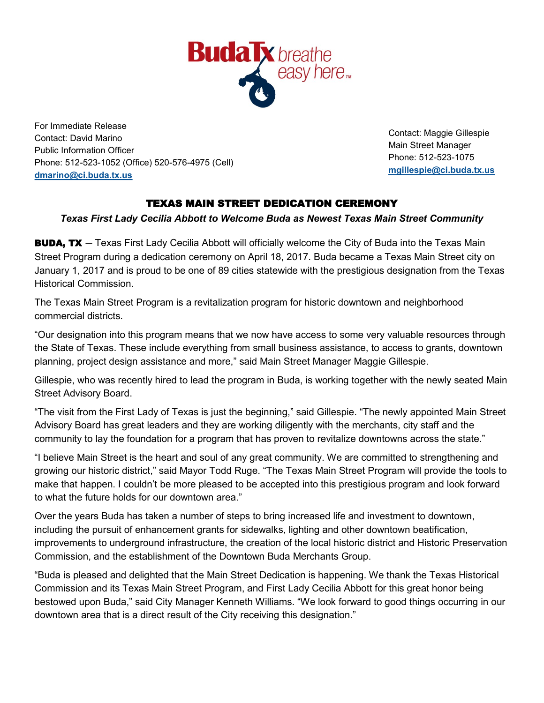

For Immediate Release Contact: David Marino Public Information Officer Phone: 512-523-1052 (Office) 520-576-4975 (Cell) **[dmarino@ci.buda.tx.us](mailto:dmarino@ci.buda.tx.us)**

Contact: Maggie Gillespie Main Street Manager Phone: 512-523-1075 **[mgillespie@ci.buda.tx.us](mailto:mgillespie@ci.buda.tx.us)**

## TEXAS MAIN STREET DEDICATION CEREMONY

## *Texas First Lady Cecilia Abbott to Welcome Buda as Newest Texas Main Street Community*

**BUDA, TX** – Texas First Lady Cecilia Abbott will officially welcome the City of Buda into the Texas Main Street Program during a dedication ceremony on April 18, 2017. Buda became a Texas Main Street city on January 1, 2017 and is proud to be one of 89 cities statewide with the prestigious designation from the Texas Historical Commission.

The Texas Main Street Program is a revitalization program for historic downtown and neighborhood commercial districts.

"Our designation into this program means that we now have access to some very valuable resources through the State of Texas. These include everything from small business assistance, to access to grants, downtown planning, project design assistance and more," said Main Street Manager Maggie Gillespie.

Gillespie, who was recently hired to lead the program in Buda, is working together with the newly seated Main Street Advisory Board.

"The visit from the First Lady of Texas is just the beginning," said Gillespie. "The newly appointed Main Street Advisory Board has great leaders and they are working diligently with the merchants, city staff and the community to lay the foundation for a program that has proven to revitalize downtowns across the state."

"I believe Main Street is the heart and soul of any great community. We are committed to strengthening and growing our historic district," said Mayor Todd Ruge. "The Texas Main Street Program will provide the tools to make that happen. I couldn't be more pleased to be accepted into this prestigious program and look forward to what the future holds for our downtown area."

Over the years Buda has taken a number of steps to bring increased life and investment to downtown, including the pursuit of enhancement grants for sidewalks, lighting and other downtown beatification, improvements to underground infrastructure, the creation of the local historic district and Historic Preservation Commission, and the establishment of the Downtown Buda Merchants Group.

"Buda is pleased and delighted that the Main Street Dedication is happening. We thank the Texas Historical Commission and its Texas Main Street Program, and First Lady Cecilia Abbott for this great honor being bestowed upon Buda," said City Manager Kenneth Williams. "We look forward to good things occurring in our downtown area that is a direct result of the City receiving this designation."